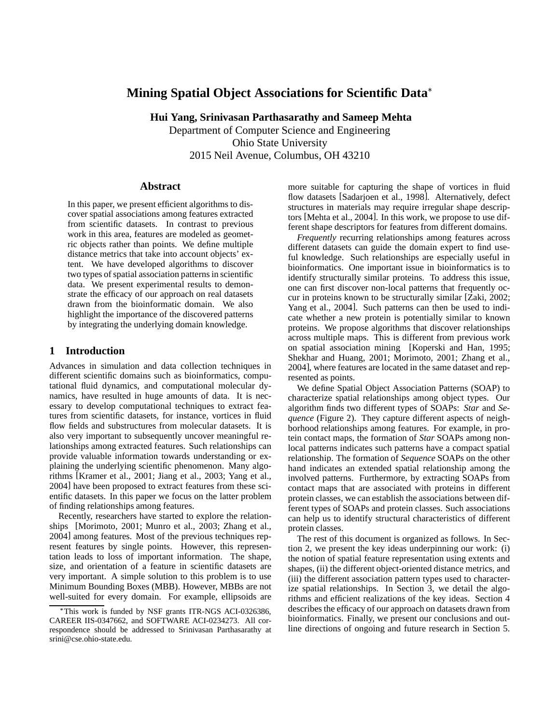# **Mining Spatial Object Associations for Scientific Data**

**Hui Yang, Srinivasan Parthasarathy and Sameep Mehta**

Department of Computer Science and Engineering Ohio State University 2015 Neil Avenue, Columbus, OH 43210

# **Abstract**

In this paper, we present efficient algorithms to discover spatial associations among features extracted from scientific datasets. In contrast to previous work in this area, features are modeled as geometric objects rather than points. We define multiple distance metrics that take into account objects' extent. We have developed algorithms to discover two types of spatial association patterns in scientific data. We present experimental results to demonstrate the efficacy of our approach on real datasets drawn from the bioinformatic domain. We also highlight the importance of the discovered patterns by integrating the underlying domain knowledge.

# **1 Introduction**

Advances in simulation and data collection techniques in different scientific domains such as bioinformatics, computational fluid dynamics, and computational molecular dynamics, have resulted in huge amounts of data. It is necessary to develop computational techniques to extract features from scientific datasets, for instance, vortices in fluid flow fields and substructures from molecular datasets. It is also very important to subsequently uncover meaningful relationships among extracted features. Such relationships can provide valuable information towards understanding or explaining the underlying scientific phenomenon. Many algorithms [Kramer et al., 2001; Jiang et al., 2003; Yang et al., 2004] have been proposed to extract features from these scientific datasets. In this paper we focus on the latter problem of finding relationships among features.

Recently, researchers have started to explore the relationships [Morimoto, 2001; Munro et al., 2003; Zhang et al., 2004] among features. Most of the previous techniques represent features by single points. However, this representation leads to loss of important information. The shape, size, and orientation of a feature in scientific datasets are very important. A simple solution to this problem is to use Minimum Bounding Boxes (MBB). However, MBBs are not well-suited for every domain. For example, ellipsoids are more suitable for capturing the shape of vortices in fluid flow datasets [Sadarjoen et al., 1998]. Alternatively, defect structures in materials may require irregular shape descriptors [Mehta et al., 2004]. In this work, we propose to use different shape descriptors for features from different domains.

*Frequently* recurring relationships among features across different datasets can guide the domain expert to find useful knowledge. Such relationships are especially useful in bioinformatics. One important issue in bioinformatics is to identify structurally similar proteins. To address this issue, one can first discover non-local patterns that frequently occur in proteins known to be structurally similar [Zaki, 2002; Yang et al., 2004]. Such patterns can then be used to indicate whether a new protein is potentially similar to known proteins. We propose algorithms that discover relationships across multiple maps. This is different from previous work on spatial association mining [Koperski and Han, 1995; Shekhar and Huang, 2001; Morimoto, 2001; Zhang et al., 2004], where features are located in the same dataset and represented as points.

We define Spatial Object Association Patterns (SOAP) to characterize spatial relationships among object types. Our algorithm finds two different types of SOAPs: *Star* and *Sequence* (Figure 2). They capture different aspects of neighborhood relationships among features. For example, in protein contact maps, the formation of *Star* SOAPs among nonlocal patterns indicates such patterns have a compact spatial relationship. The formation of *Sequence* SOAPs on the other hand indicates an extended spatial relationship among the involved patterns. Furthermore, by extracting SOAPs from contact maps that are associated with proteins in different protein classes, we can establish the associations between different types of SOAPs and protein classes. Such associations can help us to identify structural characteristics of different protein classes.

The rest of this document is organized as follows. In Section 2, we present the key ideas underpinning our work: (i) the notion of spatial feature representation using extents and shapes, (ii) the different object-oriented distance metrics, and (iii) the different association pattern types used to characterize spatial relationships. In Section 3, we detail the algorithms and efficient realizations of the key ideas. Section 4 describes the efficacy of our approach on datasets drawn from bioinformatics. Finally, we present our conclusions and outline directions of ongoing and future research in Section 5.

This work is funded by NSF grants ITR-NGS ACI-0326386, CAREER IIS-0347662, and SOFTWARE ACI-0234273. All correspondence should be addressed to Srinivasan Parthasarathy at srini@cse.ohio-state.edu.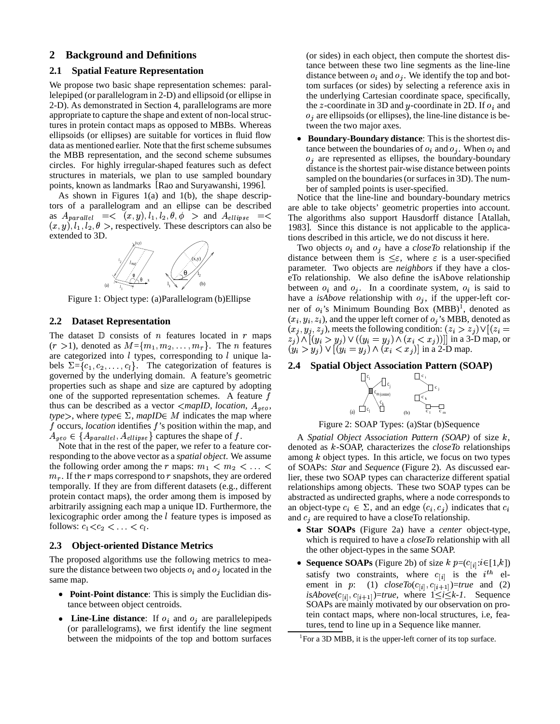# **2 Background and Definitions**

### **2.1 Spatial Feature Representation**

We propose two basic shape representation schemes: parallelepiped (or parallelogram in 2-D) and ellipsoid (or ellipse in 2-D). As demonstrated in Section 4, parallelograms are more appropriate to capture the shape and extent of non-local structures in protein contact maps as opposed to MBBs. Whereas ellipsoids (or ellipses) are suitable for vortices in fluid flow data as mentioned earlier. Note that the first scheme subsumes the MBB representation, and the second scheme subsumes circles. For highly irregular-shaped features such as defect structures in materials, we plan to use sampled boundary points, known as landmarks [Rao and Suryawanshi, 1996].

As shown in Figures 1(a) and 1(b), the shape descriptors of a parallelogram and an ellipse can be described as  $A_{parallel} = \langle (x, y), l_1, l_2, \theta, \phi \rangle$  and  $A_{ellipse} = \langle$  The algo  $(x, y), l_1, l_2, \theta >$ , respectively. These descriptors can also be extended to 3D.



Figure 1: Object type: (a)Parallelogram (b)Ellipse

# **2.2 Dataset Representation**

The dataset  $D$  consists of *n* features located in  $r$  maps  $(r > 1)$ , denoted as  $M = \{m_1, m_2, \ldots, m_r\}$ . The *n* features are categorized into  $l$  types, corresponding to  $l$  unique labels  $\Sigma = \{c_1, c_2, \ldots, c_l\}$ . The categorization of features is governed by the underlying domain. A feature's geometric properties such as shape and size are captured by adopting one of the supported representation schemes. A feature  $f$ thus can be described as a vector  $\langle mapID, location, A_{geo}, \rangle$  $type$ , where  $type \in \Sigma$ , *mapID* $\in M$  indicates the map where f occurs, *location* identifies f's position within the map, and  $A_{\text{geo}} \in \{A_{\text{parallel}}, A_{\text{ellipse}}\}$  captures the shape of f.

Note that in the rest of the paper, we refer to a feature corresponding to the above vector as a *spatial object*. We assume the following order among the r maps:  $m_1 < m_2 < \ldots <$  of SOAP  $m_r$ . If the r maps correspond to r snapshots, they are ordered temporally. If they are from different datasets (e.g., different protein contact maps), the order among them is imposed by arbitrarily assigning each map a unique ID. Furthermore, the lexicographic order among the  $l$  feature types is imposed as follows:  $c_1 < c_2 < \ldots < c_l$ .

#### **2.3 Object-oriented Distance Metrics**

The proposed algorithms use the following metrics to measure the distance between two objects  $o_i$  and  $o_j$  located in the same map.

- **Point-Point distance:** This is simply the Euclidian distance between object centroids.
- Line-Line distance: If  $o_i$  and  $o_j$  are parallelepipeds (or parallelograms), we first identify the line segment between the midpoints of the top and bottom surfaces

(or sides) in each object, then compute the shortest distance between these two line segments as the line-line distance between  $o_i$  and  $o_j$ . We identify the top and bottom surfaces (or sides) by selecting a reference axis in the underlying Cartesian coordinate space, specifically, the z-coordinate in 3D and y-coordinate in 2D. If  $o_i$  and  $o_j$  are ellipsoids (or ellipses), the line-line distance is between the two major axes.

**Boundary-Boundary distance:** This is the shortest distance between the boundaries of  $o_i$  and  $o_j$ . When  $o_i$  and  $o_i$  are represented as ellipses, the boundary-boundary distance is the shortest pair-wise distance between points sampled on the boundaries (or surfaces in 3D). The number of sampled points is user-specified.

Notice that the line-line and boundary-boundary metrics are able to take objects' geometric properties into account. The algorithms also support Hausdorff distance [Atallah, 1983]. Since this distance is not applicable to the applications described in this article, we do not discuss it here.

Two objects  $o_i$  and  $o_j$  have a *closeTo* relationship if the distance between them is  $\leq \varepsilon$ , where  $\varepsilon$  is a user-specified parameter. Two objects are *neighbors* if they have a closeTo relationship. We also define the isAbove relationship between  $o_i$  and  $o_j$ . In a coordinate system,  $o_i$  is said to have a *isAbove* relationship with  $o_j$ , if the upper-left corner of  $o_i$ 's Minimum Bounding Box (MBB)<sup>1</sup>, denoted as  $(x_i, y_i, z_i)$ , and the upper left corner of  $o_j$ 's MBB, denoted as  $(x_i, y_i, z_i)$ , meets the following condition:  $(z_i > z_i) \vee [(z_i =$  $(x_i) \wedge [(y_i > y_j) \vee ((y_i = y_j) \wedge (x_i < x_j))]]$  in a 3-D map, or  $(y_i > y_j) \vee [(y_i = y_j) \wedge (x_i < x_j)]$  in a 2-D map.

# **2.4 Spatial Object Association Pattern (SOAP)**



Figure 2: SOAP Types: (a)Star (b)Sequence

A *Spatial Object Association Pattern (SOAP)* of size  $k$ , denoted as *k*-SOAP, characterizes the *closeTo* relationships among  $k$  object types. In this article, we focus on two types of SOAPs: *Star* and *Sequence* (Figure 2). As discussed earlier, these two SOAP types can characterize different spatial relationships among objects. These two SOAP types can be abstracted as undirected graphs, where a node corresponds to an object-type  $c_i \in \Sigma$ , and an edge  $(c_i, c_j)$  indicates that  $c_i$ and  $c_j$  are required to have a closeTo relationship.

- Star SOAPs (Figure 2a) have a *center* object-type, which is required to have a *closeTo* relationship with all the other object-types in the same SOAP.
- **Sequence SOAPs** (Figure 2b) of size  $k p=(c_{[i]}:i \in [1,k])$ satisfy two constraints, where  $c_{[i]}$  is the  $i^{th}$  element in  $p$ : (1)  $closeTo(c_{[i]}, c_{[i+1]})=true$  and (2)  $isAbove(c_{[i]}, c_{[i+1]}) = true$ , where  $1 \le i \le k-1$ . Sequence SOAPs are mainly motivated by our observation on protein contact maps, where non-local structures, i.e, features, tend to line up in a Sequence like manner.

<sup>&</sup>lt;sup>1</sup>For a 3D MBB, it is the upper-left corner of its top surface.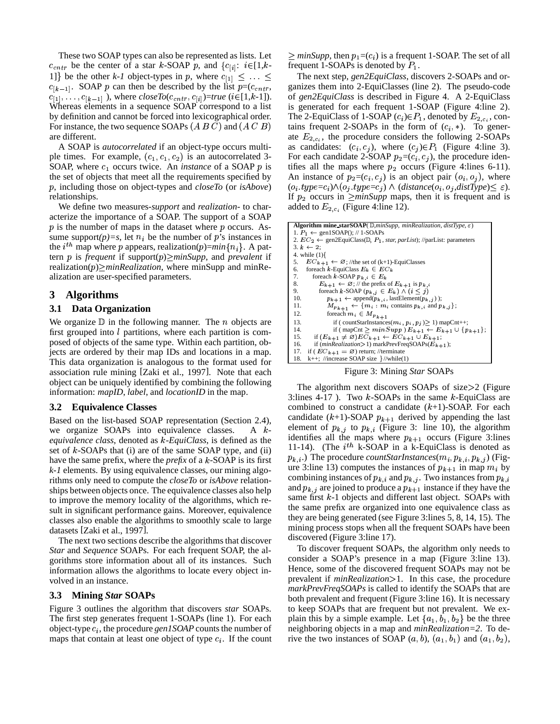These two SOAP types can also be represented as lists. Let  $c_{cntr}$  be the center of a star k-SOAP p, and  $\{c_{[i]}: i \in [1, k-1]$ 1] be the other *k-1* object-types in p, where  $c_{[1]} \leq \ldots \leq$  $c_{[k-1]}$ . SOAP p can then be described by the list  $p=(c_{cntr}, g)$  $c_{[1]}, \ldots, c_{[k-1]}$  ), where  $closeTo(c_{cntr}, c_{[i]})$ =true (i∈[1,k-1]). Whereas elements in a sequence SOAP correspond to a list by definition and cannot be forced into lexicographical order. For instance, the two sequence SOAPs  $(A B C)$  and  $(A C B)$  t are different.

A SOAP is *autocorrelated* if an object-type occurs multiple times. For example,  $(c_1, c_1, c_2)$  is an autocorrelated 3-SOAP, where  $c_1$  occurs twice. An *instance* of a SOAP  $p$  is tifies the set of objects that meet all the requirements specified by <sup>d</sup>, including those on object-types and *closeTo* (or *isAbove*) relationships.

We define two measures-*support* and *realization*- to characterize the importance of a SOAP. The support of a SOAP  $p$  is the number of maps in the dataset where  $p$  occurs. Assume support $(p)=s$ , let  $n<sub>i</sub>$  be the number of p's instances in the  $i^{th}$  map where p appears, realization(p)= $min\{n_i\}$ . A pattern p is *frequent* if support $(p) \geq minSupp$ , and *prevalent* if  $realization(p) \geq minRealization$ , where minSupp and minRealization are user-specified parameters.

# **3 Algorithms**

### **3.1 Data Organization**

We organize  $D$  in the following manner. The *n* objects are first grouped into  $l$  partitions, where each partition is composed of objects of the same type. Within each partition, objects are ordered by their map IDs and locations in a map. This data organization is analogous to the format used for association rule mining [Zaki et al., 1997]. Note that each object can be uniquely identified by combining the following information: *mapID*, *label*, and *locationID* in the map.

# **3.2 Equivalence Classes**

Based on the list-based SOAP representation (Section 2.4), we organize SOAPs into equivalence classes. A k*equivalence class*, denoted as *k*-*EquiClass*, is defined as the set of  $k$ -SOAPs that (i) are of the same SOAP type, and (ii) have the same prefix, where the *prefix* of a  $k$ -SOAP is its first *k-1* elements. By using equivalence classes, our mining algorithms only need to compute the *closeTo* or *isAbove* relationships between objects once. The equivalence classes also help to improve the memory locality of the algorithms, which result in significant performance gains. Moreover, equivalence classes also enable the algorithms to smoothly scale to large datasets [Zaki et al., 1997].

The next two sections describe the algorithms that discover *Star* and *Sequence* SOAPs. For each frequent SOAP, the algorithms store information about all of its instances. Such information allows the algorithms to locate every object involved in an instance.

#### **3.3 Mining** *Star* **SOAPs**

Figure 3 outlines the algorithm that discovers *star* SOAPs. The first step generates frequent 1-SOAPs (line 1). For each object-type  $c_i$ , the procedure  $\frac{genISOAP}{}$  counts the number of maps that contain at least one object of type  $c_i$ . If the count

 $\geq minSupp$ , then  $p_1 = (c_i)$  is a frequent 1-SOAP. The set of all frequent 1-SOAPs is denoted by  $P_1$ .

<sup>L</sup> The next step, *gen2EquiClass*, discovers 2-SOAPs and organizes them into 2-EquiClasses (line 2). The pseudo-code of *gen2EquiClass* is described in Figure 4. A 2-EquiClass is generated for each frequent 1-SOAP (Figure 4:line 2). The 2-EquiClass of 1-SOAP  $(c_i) \in P_1$ , denoted by  $E_{2,c_i}$ , contains frequent 2-SOAPs in the form of  $(c_i, *)$ . To generate  $E_{2,c_i}$ , the procedure considers the following 2-SOAPs as candidates:  $(c_i, c_j)$ , where  $(c_j) \in P_1$  (Figure 4:line 3). For each candidate 2-SOAP  $p_2=(c_i, c_j)$ , the procedure identifies all the maps where  $p_2$  occurs (Figure 4:lines 6-11). An instance of  $p_2=(c_i, c_j)$  is an object pair  $(o_i, o_j)$ , where  $(o_i.\textit{type}=c_i) \land (o_j.\textit{type}=c_j) \land (\textit{distance}(o_i, o_j, \textit{distType}) \leq \varepsilon).$ If  $p_2$  occurs in  $\geq minSupp$  maps, then it is frequent and is added to  $E_{2,c_i}$  (Figure 4:line 12).

```
\overline{\text{Algorithm mine\_starSOAP(}\text{ \textsterling }m} minSupp, minRealization, distType, \varepsilon)1. P_1 \leftarrow \text{gen1SOAP}(); // 1-SOAPs
2. EC_2 \leftarrow \text{gen2EquiClass}(\mathbb{D}, P_1, \text{star}, \text{part} \text{list}); // \text{parList: parameters}3. k \leftarrow 2;4. while (1) {
5.  EC_{k+1} \leftarrow \emptyset; //the set of (k+1)-EquiClasses<br>6.  foreach k-EquiClass E_k \in EC_k6. foreach k-EquiClass E_k \in EC_k7. foreach k-SOAP p_{k,i} \in E_k8. E_{k+1} \leftarrow \emptyset; // the prefix of E_{k+1} is p_{k,i}9. foreach k-SOAP (p_{k,j} \in E_k) \wedge (i \leq j)10. p_{k+1} \leftarrow \text{append}(p_{k,i}, \text{lastElement}(p_{k,i}));
11. M_{p_{k+1}} \leftarrow \{m_i : m_i \text{ contains } p_{k,i} \text{ and } p_{k,j} \};12. for each m_i \in M_{p_{k+1}}13. if ( countStarInstances(m_i, p_i, p_j) \ge 1) mapCnt++;
14. if ( mapCnt > minSupp ) E_{k+1} \leftarrow E_{k+1} \cup \{p_{k+1}\};15. if (E_{k+1} \neq \emptyset)EC_{k+1} \leftarrow EC_{k+1} \cup E_{k+1};
16. if (minRealization > 1) markPrevFreqSOAPs(E_{k+1});
17. if (EC_{k+1} = \emptyset) return; //terminate
18. k++; //increase SOAP size \frac{1}{\sqrt{while(1)}}
```
Figure 3: Mining *Star* SOAPs

The algorithm next discovers SOAPs of size $>2$  (Figure 3:lines 4-17). Two  $k$ -SOAPs in the same  $k$ -EquiClass are combined to construct a candidate  $(k+1)$ -SOAP. For each candidate  $(k+1)$ -SOAP  $p_{k+1}$  derived by appending the last element of  $p_{k,j}$  to  $p_{k,i}$  (Figure 3: line 10), the algorithm identifies all the maps where  $p_{k+1}$  occurs (Figure 3:lines 11-14). (The  $i^{th}$  k-SOAP in a k-EquiClass is denoted as  $p_{k,i}$ .) The procedure *countStarInstances*( $m_i, p_{k,i}, p_{k,j}$ ) (Figure 3:line 13) computes the instances of  $p_{k+1}$  in map  $m_i$  by combining instances of  $p_{k,i}$  and  $p_{k,j}$ . Two instances from  $p_{k,i}$ and  $p_{k,i}$  are joined to produce a  $p_{k+1}$  instance if they have the same first  $k-1$  objects and different last object. SOAPs with the same prefix are organized into one equivalence class as they are being generated (see Figure 3:lines 5, 8, 14, 15). The mining process stops when all the frequent SOAPs have been discovered (Figure 3:line 17).

To discover frequent SOAPs, the algorithm only needs to consider a SOAP's presence in a map (Figure 3:line 13). Hence, some of the discovered frequent SOAPs may not be prevalent if *minRealization* > 1. In this case, the procedure *markPrevFreqSOAPs* is called to identify the SOAPs that are both prevalent and frequent (Figure 3:line 16). It is necessary to keep SOAPs that are frequent but not prevalent. We explain this by a simple example. Let  $\{a_1, b_1, b_2\}$  be the three neighboring objects in a map and *minRealization=2*. To derive the two instances of SOAP  $(a, b)$ ,  $(a_1, b_1)$  and  $(a_1, b_2)$ ,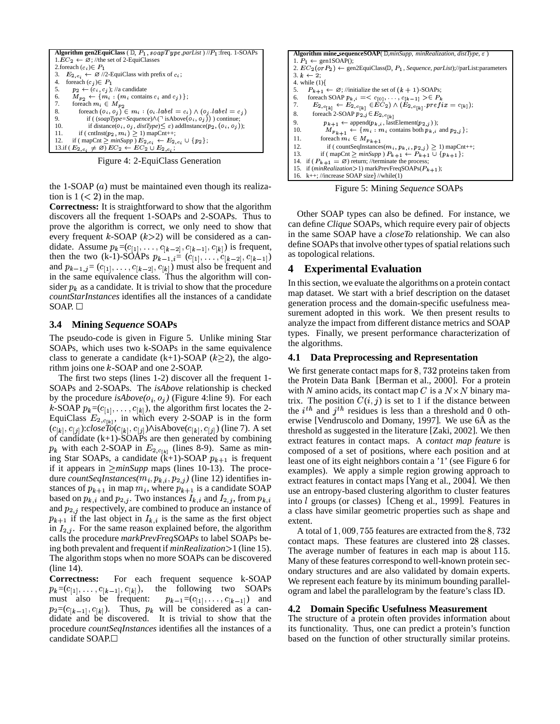

Figure 4: 2-EquiClass Generation

the 1-SOAP  $(a)$  must be maintained even though its realization is  $1 \lt 2$ ) in the map.

**Correctness:** It is straightforward to show that the algorithm discovers all the frequent 1-SOAPs and 2-SOAPs. Thus to prove the algorithm is correct, we only need to show that every frequent  $k$ -SOAP ( $k$ >2) will be considered as a candidate. Assume  $p_k = (c_{[1]}, \ldots, c_{[k-2]}, c_{[k-1]}, c_{[k]})$  is frequent, then the two (k-1)-SOAPs  $p_{k-1,i} = (c_{[1]}, \ldots, c_{[k-2]}, c_{[k-1]})$  as t and  $p_{k-1,j} = (c_{11}, \ldots, c_{[k-2]}, c_{[k]})$  must also be frequent and in the same equivalence class. Thus the algorithm will consider  $p_k$  as a candidate. It is trivial to show that the procedure *countStarInstances* identifies all the instances of a candidate SOAP.  $\Box$ 

### **3.4 Mining** *Sequence* **SOAPs**

The pseudo-code is given in Figure 5. Unlike mining Star SOAPs, which uses two k-SOAPs in the same equivalence class to generate a candidate  $(k+1)$ -SOAP  $(k>2)$ , the algorithm joins one  $k$ -SOAP and one 2-SOAP.

The first two steps (lines 1-2) discover all the frequent 1- SOAPs and 2-SOAPs. The *isAbove* relationship is checked by the procedure  $isAbove(o_i, o_j)$  (Figure 4:line 9). For each k-SOAP  $p_k = (c_{[1]}, \ldots, c_{[k]})$ , the algorithm first locates the 2-EquiClass  $E_{2,c_{1k}}$ , in which every 2-SOAP is in the form  $(c_{[k]}, c_{[j]})$ :*closeTo* $(c_{[k]}, c_{[j]})$  $\wedge$ isAbove $(c_{[k]}, c_{[j]})$  (line 7). A set of candidate (k+1)-SOAPs are then generated by combining  $p_k$  with each 2-SOAP in  $E_{2,c_{1k}}$  (lines 8-9). Same as mining Star SOAPs, a candidate  $(k+1)$ -SOAP  $p_{k+1}$  is frequent if it appears in  $\geq minSupp$  maps (lines 10-13). The procedure *countSeqInstances*( $m_i, p_{k,i}, p_{2,j}$ ) (line 12) identifies instances of  $p_{k+1}$  in map  $m_i$ , where  $p_{k+1}$  is a candidate SOAP based on  $p_{k,i}$  and  $p_{2,i}$ . Two instances  $I_{k,i}$  and  $I_{2,i}$ , from  $p_{k,i}$  in and  $p_{2,i}$  respectively, are combined to produce an instance of  $p_{k+1}$  if the last object in  $I_{k,i}$  is the same as the first object in  $I_{2,i}$ . For the same reason explained before, the algorithm calls the procedure *markPrevFreqSOAPs* to label SOAPs being both prevalent and frequent if *minRealization*% 1 (line 15). The algorithm stops when no more SOAPs can be discovered (line 14).

**Correctness:** For each frequent sequence k-SOAP  $p_k = (c_{[1]}, \ldots, c_{[k-1]}, c_{[k]})$ , th  $_1$ ), the following two SOAPs must also be frequent:  $_{1}=(c_{[1]},\ldots,c_{[k-1]})$  and  $p_2=(c_{[k-1]}, c_{[k]})$ . Thus,  $p_k$  will be considered as a candidate and be discovered. It is trivial to show that the procedure *countSeqInstances* identifies all the instances of a candidate SOAP.



Figure 5: Mining *Sequence* SOAPs

Other SOAP types can also be defined. For instance, we can define *Clique* SOAPs, which require every pair of objects in the same SOAP have a *closeTo* relationship. We can also define SOAPs that involve other types of spatial relations such as topological relations.

#### **4 Experimental Evaluation**

In this section, we evaluate the algorithms on a protein contact map dataset. We start with a brief description on the dataset generation process and the domain-specific usefulness measurement adopted in this work. We then present results to analyze the impact from different distance metrics and SOAP types. Finally, we present performance characterization of the algorithms.

#### **4.1 Data Preprocessing and Representation**

We first generate contact maps for  $8,732$  proteins taken from the Protein Data Bank [Berman et al., 2000]. For a protein with *N* amino acids, its contact map *C* is a  $N \times N$  binary matrix. The position  $C(i, j)$  is set to 1 if the distance between the  $i^{th}$  and  $j^{th}$  residues is less than a threshold and 0 otherwise [Vendruscolo and Domany, 1997]. We use 6Å as the threshold as suggested in the literature [Zaki, 2002]. We then extract features in contact maps. A *contact map feature* is composed of a set of positions, where each position and at least one of its eight neighbors contain a '1' (see Figure 6 for examples). We apply a simple region growing approach to extract features in contact maps [Yang et al., 2004]. We then use an entropy-based clustering algorithm to cluster features into *l* groups (or classes) [Cheng et al., 1999]. Features in a class have similar geometric properties such as shape and extent.

A total of  $1,009,755$  features are extracted from the  $8,732$ contact maps. These features are clustered into 28 classes. The average number of features in each map is about 115. Many of these features correspond to well-known protein secondary structures and are also validated by domain experts. We represent each feature by its minimum bounding parallelogram and label the parallelogram by the feature's class ID.

# **4.2 Domain Specific Usefulness Measurement**

The structure of a protein often provides information about its functionality. Thus, one can predict a protein's function based on the function of other structurally similar proteins.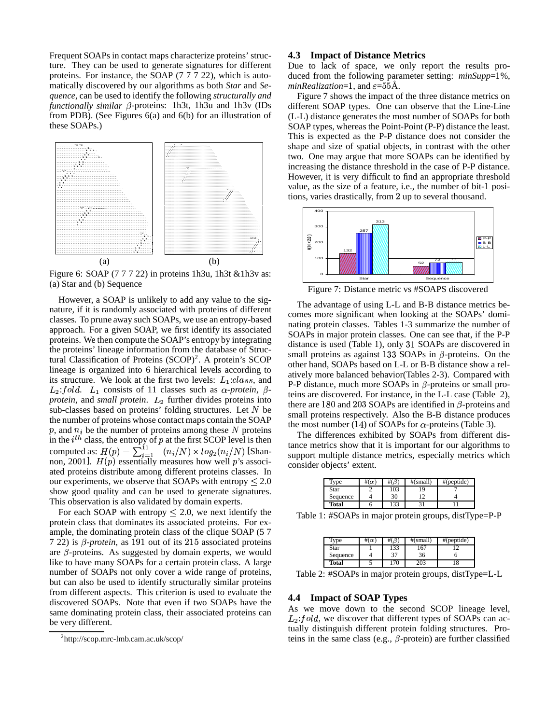Frequent SOAPs in contact maps characterize proteins' structure. They can be used to generate signatures for different proteins. For instance, the SOAP (7 7 7 22), which is automatically discovered by our algorithms as both *Star* and *Sequence*, can be used to identify the following *structurally and*  $functionally similar \beta$ -proteins: 1h3t, 1h3u and 1h3v (IDs from PDB). (See Figures 6(a) and 6(b) for an illustration of these SOAPs.)



Figure 6: SOAP (7 7 7 22) in proteins 1h3u, 1h3t &1h3v as: (a) Star and (b) Sequence

However, a SOAP is unlikely to add any value to the signature, if it is randomly associated with proteins of different classes. To prune away such SOAPs, we use an entropy-based approach. For a given SOAP, we first identify its associated proteins. We then compute the SOAP's entropy by integrating the proteins' lineage information from the database of Structural Classification of Proteins (SCOP)<sup>2</sup>. A protein's SCOP lineage is organized into 6 hierarchical levels according to its structure. We look at the first two levels:  $L_1: class$ , and  $L_2$ : fold.  $L_1$  consists of 11 classes such as  $\alpha$ -protein,  $\beta$ protein, and *small protein*.  $L_2$  further divides proteins into sub-classes based on proteins' folding structures. Let  $N$  be the number of proteins whose contact maps contain the SOAP p, and  $n_i$  be the number of proteins among these N proteins  $\frac{dE}{dE}$ in the  $i^{th}$  class, the entropy of p at the first SCOP level is then computed as:  $H(p) = \sum_{i=1}^{11} -(n_i/N) \times log_2(n_i/N)$  [Shannon, 2001].  $H(p)$  essentially measures how well p's associated proteins distribute among different proteins classes. In our experiments, we observe that SOAPs with entropy  $\leq 2.0$ show good quality and can be used to generate signatures. This observation is also validated by domain experts.

For each SOAP with entropy  $\leq 2.0$ , we next identify the protein class that dominates its associated proteins. For example, the dominating protein class of the clique SOAP (5 7  $7 22$ ) is  $\beta$ -protein, as 191 out of its 215 associated proteins are  $\beta$ -proteins. As suggested by domain experts, we would like to have many SOAPs for a certain protein class. A large number of SOAPs not only cover a wide range of proteins, but can also be used to identify structurally similar proteins from different aspects. This criterion is used to evaluate the discovered SOAPs. Note that even if two SOAPs have the same dominating protein class, their associated proteins can be very different.

#### **4.3 Impact of Distance Metrics**

Due to lack of space, we only report the results produced from the following parameter setting:  $minSupp=1\%$ , *minRealization*=1, and  $\varepsilon$ =55Å.

Figure 7 shows the impact of the three distance metrics on different SOAP types. One can observe that the Line-Line (L-L) distance generates the most number of SOAPs for both SOAP types, whereas the Point-Point (P-P) distance the least. This is expected as the P-P distance does not consider the shape and size of spatial objects, in contrast with the other two. One may argue that more SOAPs can be identified by increasing the distance threshold in the case of P-P distance. However, it is very difficult to find an appropriate threshold value, as the size of a feature, i.e., the number of bit-1 positions, varies drastically, from 2 up to several thousand.



Figure 7: Distance metric vs #SOAPS discovered

The advantage of using L-L and B-B distance metrics becomes more significant when looking at the SOAPs' dominating protein classes. Tables 1-3 summarize the number of SOAPs in major protein classes. One can see that, if the P-P distance is used (Table 1), only 31 SOAPs are discovered in small proteins as against 133 SOAPs in  $\beta$ -proteins. On the other hand, SOAPs based on L-L or B-B distance show a relatively more balanced behavior(Tables 2-3). Compared with P-P distance, much more SOAPs in  $\beta$ -proteins or small proteins are discovered. For instance, in the L-L case (Table 2), there are 180 and 203 SOAPs are identified in  $\beta$ -proteins and small proteins respectively. Also the B-B distance produces the most number (14) of SOAPs for  $\alpha$ -proteins (Table 3).

The differences exhibited by SOAPs from different distance metrics show that it is important for our algorithms to support multiple distance metrics, especially metrics which consider objects' extent.

| T <sub>vpe</sub> | #(α |     | #(small) | #(peptide) |
|------------------|-----|-----|----------|------------|
| Star             |     | 103 |          |            |
| Sequence         |     | 30  |          |            |
| Total            |     | 133 |          |            |

Table 1: #SOAPs in major protein groups, distType=P-P

| Type     | $\#(\alpha)$ |     | #(small) | #(peptide) |
|----------|--------------|-----|----------|------------|
| Star     |              | 133 | 167      |            |
| Sequence |              | 27  | 36       |            |
| Total    |              |     |          |            |

Table 2: #SOAPs in major protein groups, distType=L-L

## **4.4 Impact of SOAP Types**

As we move down to the second SCOP lineage level,  $L_2$ : fold, we discover that different types of SOAPs can actually distinguish different protein folding structures. Proteins in the same class (e.g.,  $\beta$ -protein) are further classified

<sup>2</sup> http://scop.mrc-lmb.cam.ac.uk/scop/